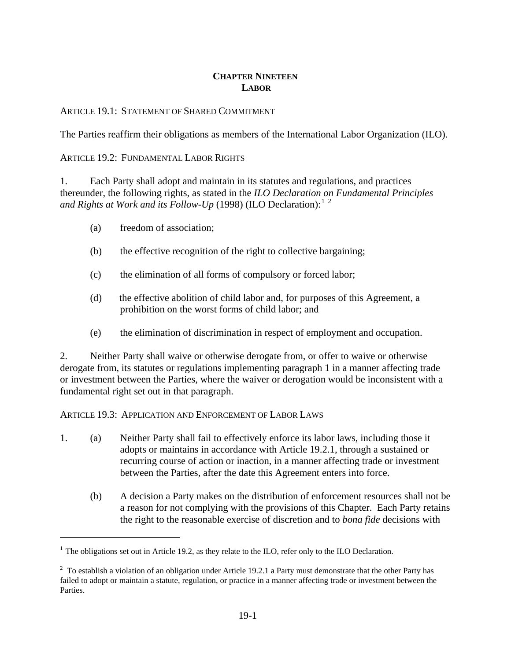### **CHAPTER NINETEEN LABOR**

#### ARTICLE 19.1: STATEMENT OF SHARED COMMITMENT

The Parties reaffirm their obligations as members of the International Labor Organization (ILO).

#### ARTICLE 19.2: FUNDAMENTAL LABOR RIGHTS

1. Each Party shall adopt and maintain in its statutes and regulations, and practices thereunder, the following rights, as stated in the *ILO Declaration on Fundamental Principles and Rights at Work and its Follow-Up* ([1](#page-0-0)998) (ILO Declaration):<sup>1</sup><sup>[2](#page-0-1)</sup>

(a) freedom of association;

 $\overline{a}$ 

- (b) the effective recognition of the right to collective bargaining;
- (c) the elimination of all forms of compulsory or forced labor;
- (d) the effective abolition of child labor and, for purposes of this Agreement, a prohibition on the worst forms of child labor; and
- (e) the elimination of discrimination in respect of employment and occupation.

2. Neither Party shall waive or otherwise derogate from, or offer to waive or otherwise derogate from, its statutes or regulations implementing paragraph 1 in a manner affecting trade or investment between the Parties, where the waiver or derogation would be inconsistent with a fundamental right set out in that paragraph.

ARTICLE 19.3: APPLICATION AND ENFORCEMENT OF LABOR LAWS

- 1. (a) Neither Party shall fail to effectively enforce its labor laws, including those it adopts or maintains in accordance with Article 19.2.1, through a sustained or recurring course of action or inaction, in a manner affecting trade or investment between the Parties, after the date this Agreement enters into force.
	- (b) A decision a Party makes on the distribution of enforcement resources shall not be a reason for not complying with the provisions of this Chapter. Each Party retains the right to the reasonable exercise of discretion and to *bona fide* decisions with

<span id="page-0-0"></span> $<sup>1</sup>$  The obligations set out in Article 19.2, as they relate to the ILO, refer only to the ILO Declaration.</sup>

<span id="page-0-1"></span> $2^2$  To establish a violation of an obligation under Article 19.2.1 a Party must demonstrate that the other Party has failed to adopt or maintain a statute, regulation, or practice in a manner affecting trade or investment between the Parties.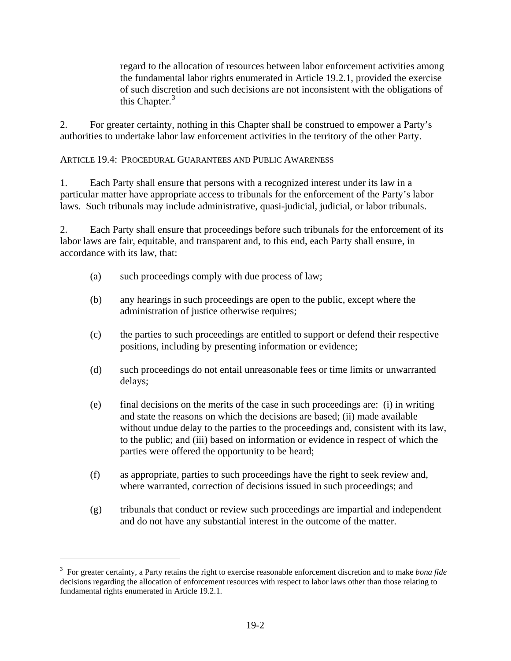regard to the allocation of resources between labor enforcement activities among the fundamental labor rights enumerated in Article 19.2.1, provided the exercise of such discretion and such decisions are not inconsistent with the obligations of this Chapter.<sup>[3](#page-1-0)</sup>

2. For greater certainty, nothing in this Chapter shall be construed to empower a Party's authorities to undertake labor law enforcement activities in the territory of the other Party.

ARTICLE 19.4: PROCEDURAL GUARANTEES AND PUBLIC AWARENESS

1. Each Party shall ensure that persons with a recognized interest under its law in a particular matter have appropriate access to tribunals for the enforcement of the Party's labor laws. Such tribunals may include administrative, quasi-judicial, judicial, or labor tribunals.

2. Each Party shall ensure that proceedings before such tribunals for the enforcement of its labor laws are fair, equitable, and transparent and, to this end, each Party shall ensure, in accordance with its law, that:

- (a) such proceedings comply with due process of law;
- (b) any hearings in such proceedings are open to the public, except where the administration of justice otherwise requires;
- (c) the parties to such proceedings are entitled to support or defend their respective positions, including by presenting information or evidence;
- (d) such proceedings do not entail unreasonable fees or time limits or unwarranted delays;
- (e) final decisions on the merits of the case in such proceedings are: (i) in writing and state the reasons on which the decisions are based; (ii) made available without undue delay to the parties to the proceedings and, consistent with its law, to the public; and (iii) based on information or evidence in respect of which the parties were offered the opportunity to be heard;
- (f) as appropriate, parties to such proceedings have the right to seek review and, where warranted, correction of decisions issued in such proceedings; and
- (g) tribunals that conduct or review such proceedings are impartial and independent and do not have any substantial interest in the outcome of the matter.

 $\overline{a}$ 

<span id="page-1-0"></span><sup>3</sup> For greater certainty, a Party retains the right to exercise reasonable enforcement discretion and to make *bona fide* decisions regarding the allocation of enforcement resources with respect to labor laws other than those relating to fundamental rights enumerated in Article 19.2.1.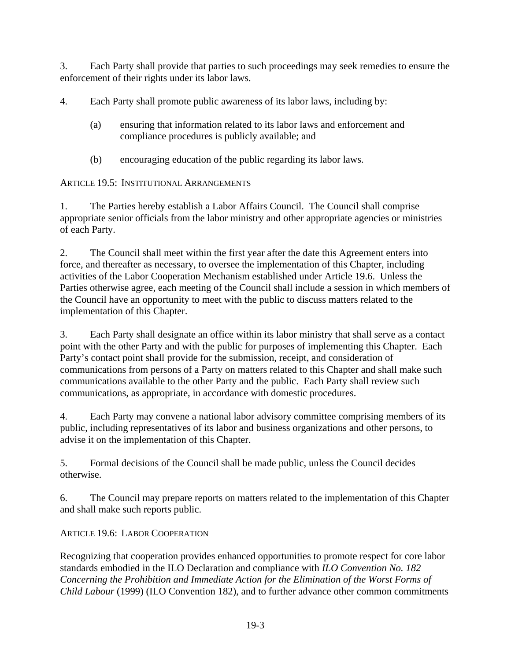3. Each Party shall provide that parties to such proceedings may seek remedies to ensure the enforcement of their rights under its labor laws.

4. Each Party shall promote public awareness of its labor laws, including by:

- (a) ensuring that information related to its labor laws and enforcement and compliance procedures is publicly available; and
- (b) encouraging education of the public regarding its labor laws.

ARTICLE 19.5: INSTITUTIONAL ARRANGEMENTS

1. The Parties hereby establish a Labor Affairs Council. The Council shall comprise appropriate senior officials from the labor ministry and other appropriate agencies or ministries of each Party.

2. The Council shall meet within the first year after the date this Agreement enters into force, and thereafter as necessary, to oversee the implementation of this Chapter, including activities of the Labor Cooperation Mechanism established under Article 19.6. Unless the Parties otherwise agree, each meeting of the Council shall include a session in which members of the Council have an opportunity to meet with the public to discuss matters related to the implementation of this Chapter.

3. Each Party shall designate an office within its labor ministry that shall serve as a contact point with the other Party and with the public for purposes of implementing this Chapter. Each Party's contact point shall provide for the submission, receipt, and consideration of communications from persons of a Party on matters related to this Chapter and shall make such communications available to the other Party and the public. Each Party shall review such communications, as appropriate, in accordance with domestic procedures.

4. Each Party may convene a national labor advisory committee comprising members of its public, including representatives of its labor and business organizations and other persons, to advise it on the implementation of this Chapter.

5. Formal decisions of the Council shall be made public, unless the Council decides otherwise.

6. The Council may prepare reports on matters related to the implementation of this Chapter and shall make such reports public.

# ARTICLE 19.6: LABOR COOPERATION

Recognizing that cooperation provides enhanced opportunities to promote respect for core labor standards embodied in the ILO Declaration and compliance with *ILO Convention No. 182 Concerning the Prohibition and Immediate Action for the Elimination of the Worst Forms of Child Labour* (1999) (ILO Convention 182), and to further advance other common commitments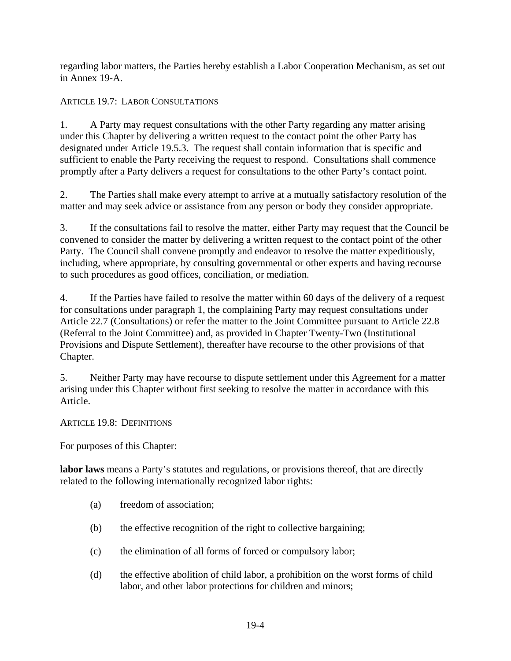regarding labor matters, the Parties hereby establish a Labor Cooperation Mechanism, as set out in Annex 19-A.

## ARTICLE 19.7: LABOR CONSULTATIONS

1. A Party may request consultations with the other Party regarding any matter arising under this Chapter by delivering a written request to the contact point the other Party has designated under Article 19.5.3. The request shall contain information that is specific and sufficient to enable the Party receiving the request to respond. Consultations shall commence promptly after a Party delivers a request for consultations to the other Party's contact point.

2. The Parties shall make every attempt to arrive at a mutually satisfactory resolution of the matter and may seek advice or assistance from any person or body they consider appropriate.

3. If the consultations fail to resolve the matter, either Party may request that the Council be convened to consider the matter by delivering a written request to the contact point of the other Party. The Council shall convene promptly and endeavor to resolve the matter expeditiously, including, where appropriate, by consulting governmental or other experts and having recourse to such procedures as good offices, conciliation, or mediation.

4. If the Parties have failed to resolve the matter within 60 days of the delivery of a request for consultations under paragraph 1, the complaining Party may request consultations under Article 22.7 (Consultations) or refer the matter to the Joint Committee pursuant to Article 22.8 (Referral to the Joint Committee) and, as provided in Chapter Twenty-Two (Institutional Provisions and Dispute Settlement), thereafter have recourse to the other provisions of that Chapter.

5. Neither Party may have recourse to dispute settlement under this Agreement for a matter arising under this Chapter without first seeking to resolve the matter in accordance with this Article.

ARTICLE 19.8: DEFINITIONS

For purposes of this Chapter:

**labor laws** means a Party's statutes and regulations, or provisions thereof, that are directly related to the following internationally recognized labor rights:

- (a) freedom of association;
- (b) the effective recognition of the right to collective bargaining;
- (c) the elimination of all forms of forced or compulsory labor;
- (d) the effective abolition of child labor, a prohibition on the worst forms of child labor, and other labor protections for children and minors;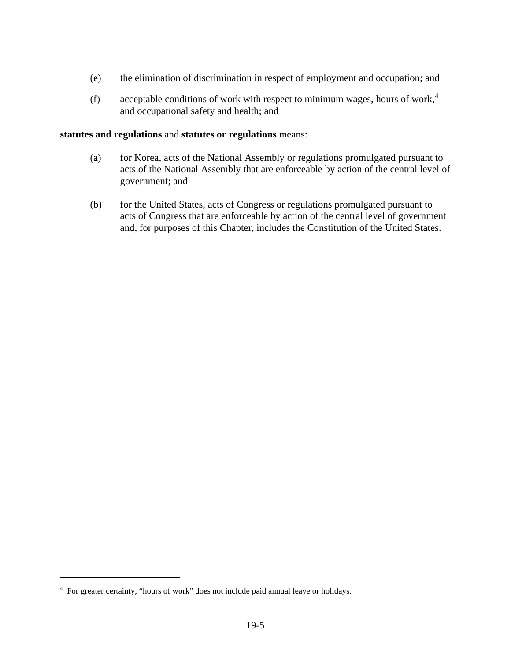- (e) the elimination of discrimination in respect of employment and occupation; and
- (f) acceptable conditions of work with respect to minimum wages, hours of work,<sup>[4](#page-4-0)</sup> and occupational safety and health; and

#### **statutes and regulations** and **statutes or regulations** means:

- (a) for Korea, acts of the National Assembly or regulations promulgated pursuant to acts of the National Assembly that are enforceable by action of the central level of government; and
- (b) for the United States, acts of Congress or regulations promulgated pursuant to acts of Congress that are enforceable by action of the central level of government and, for purposes of this Chapter, includes the Constitution of the United States.

 $\overline{a}$ 

<span id="page-4-0"></span><sup>&</sup>lt;sup>4</sup> For greater certainty, "hours of work" does not include paid annual leave or holidays.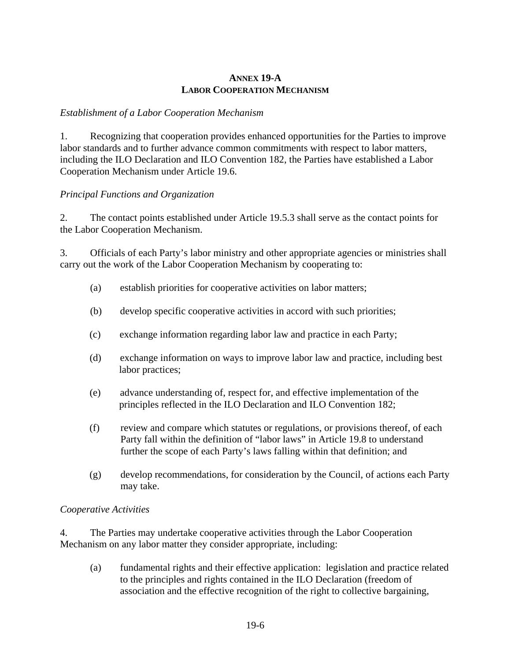#### **ANNEX 19-A LABOR COOPERATION MECHANISM**

### *Establishment of a Labor Cooperation Mechanism*

1. Recognizing that cooperation provides enhanced opportunities for the Parties to improve labor standards and to further advance common commitments with respect to labor matters, including the ILO Declaration and ILO Convention 182, the Parties have established a Labor Cooperation Mechanism under Article 19.6.

### *Principal Functions and Organization*

2. The contact points established under Article 19.5.3 shall serve as the contact points for the Labor Cooperation Mechanism.

3. Officials of each Party's labor ministry and other appropriate agencies or ministries shall carry out the work of the Labor Cooperation Mechanism by cooperating to:

- (a) establish priorities for cooperative activities on labor matters;
- (b) develop specific cooperative activities in accord with such priorities;
- (c) exchange information regarding labor law and practice in each Party;
- (d) exchange information on ways to improve labor law and practice, including best labor practices;
- (e) advance understanding of, respect for, and effective implementation of the principles reflected in the ILO Declaration and ILO Convention 182;
- (f) review and compare which statutes or regulations, or provisions thereof, of each Party fall within the definition of "labor laws" in Article 19.8 to understand further the scope of each Party's laws falling within that definition; and
- (g) develop recommendations, for consideration by the Council, of actions each Party may take.

### *Cooperative Activities*

4. The Parties may undertake cooperative activities through the Labor Cooperation Mechanism on any labor matter they consider appropriate, including:

(a) fundamental rights and their effective application: legislation and practice related to the principles and rights contained in the ILO Declaration (freedom of association and the effective recognition of the right to collective bargaining,